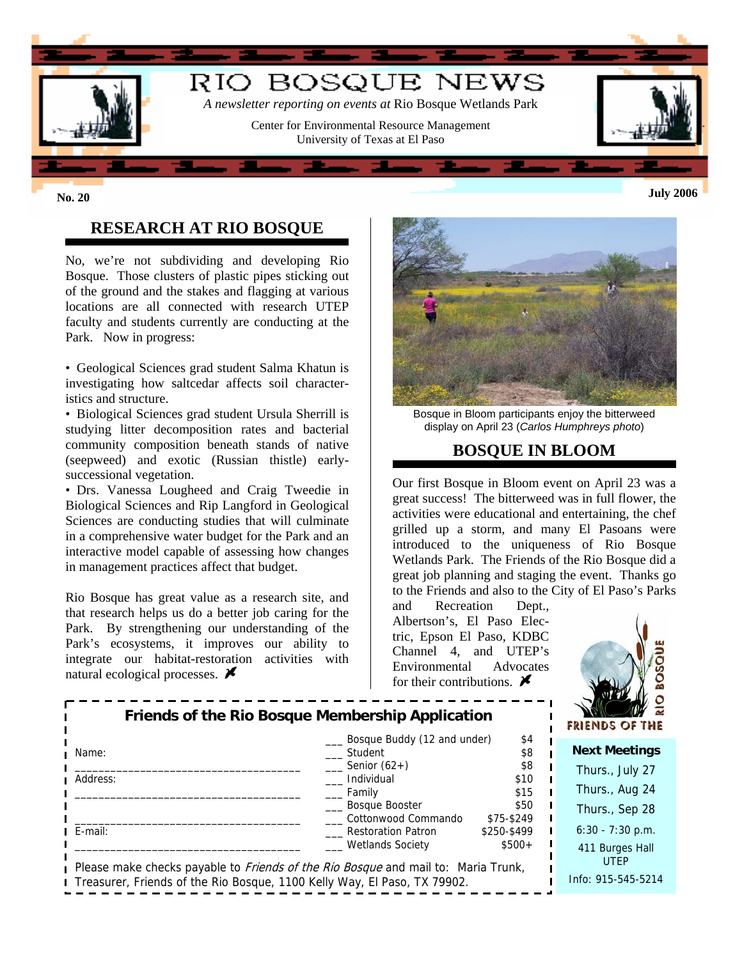

# **RESEARCH AT RIO BOSQUE**

No, we're not subdividing and developing Rio Bosque. Those clusters of plastic pipes sticking out of the ground and the stakes and flagging at various locations are all connected with research UTEP faculty and students currently are conducting at the Park. Now in progress:

• Geological Sciences grad student Salma Khatun is investigating how saltcedar affects soil characteristics and structure.

• Biological Sciences grad student Ursula Sherrill is studying litter decomposition rates and bacterial community composition beneath stands of native (seepweed) and exotic (Russian thistle) earlysuccessional vegetation.

• Drs. Vanessa Lougheed and Craig Tweedie in Biological Sciences and Rip Langford in Geological Sciences are conducting studies that will culminate in a comprehensive water budget for the Park and an interactive model capable of assessing how changes in management practices affect that budget.

Rio Bosque has great value as a research site, and that research helps us do a better job caring for the Park. By strengthening our understanding of the Park's ecosystems, it improves our ability to integrate our habitat-restoration activities with natural ecological processes.  $\cancel{\blacktriangleright}$ 



Bosque in Bloom participants enjoy the bitterweed display on April 23 (*Carlos Humphreys photo*)

### **BOSQUE IN BLOOM**

Our first Bosque in Bloom event on April 23 was a great success! The bitterweed was in full flower, the activities were educational and entertaining, the chef grilled up a storm, and many El Pasoans were introduced to the uniqueness of Rio Bosque Wetlands Park. The Friends of the Rio Bosque did a great job planning and staging the event. Thanks go to the Friends and also to the City of El Paso's Parks

and Recreation Dept., Albertson's, El Paso Electric, Epson El Paso, KDBC Channel 4, and UTEP's Environmental Advocates for their contributions.  $\boldsymbol{\mathscr{F}}$ 



| Friends of the Rio Bosque Membership Application                                         |                                                  |                           | - 62<br>$\mathcal{W}(\mathbb{R})$<br>FRIENDS OF THE |
|------------------------------------------------------------------------------------------|--------------------------------------------------|---------------------------|-----------------------------------------------------|
| Name:                                                                                    | Bosque Buddy (12 and under)<br>Student           | \$4<br>\$8                | <b>Next Meetings</b>                                |
| Address:                                                                                 | Senior $(62+)$<br>Individual                     | \$8<br>\$10               | Thurs., July 27                                     |
|                                                                                          | Family<br>Bosque Booster                         | \$15<br>\$50              | Thurs., Aug 24<br>Thurs., Sep 28                    |
| E-mail:                                                                                  | Cottonwood Commando<br><b>Restoration Patron</b> | \$75-\$249<br>\$250-\$499 | $6:30 - 7:30$ p.m.                                  |
| Please make checks payable to <i>Friends of the Rio Bosque</i> and mail to: Maria Trunk, | <b>Wetlands Society</b>                          | $$500+$                   | 411 Burges Hall<br><b>UTEP</b>                      |
| Treasurer, Friends of the Rio Bosque, 1100 Kelly Way, El Paso, TX 79902.                 |                                                  |                           | Info: 915-545-5214                                  |